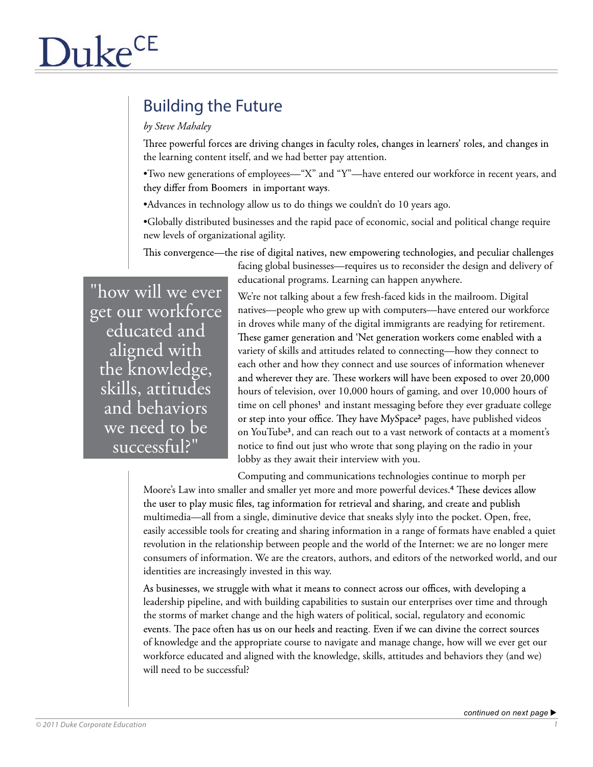# Building the Future

## *by Steve Mahaley*

Three powerful forces are driving changes in faculty roles, changes in learners' roles, and changes in the learning content itself, and we had better pay attention.

- •Two new generations of employees—"X" and "Y"—have entered our workforce in recent years, and they differ from Boomers in important ways.
- •Advances in technology allow us to do things we couldn't do 10 years ago.
- •Globally distributed businesses and the rapid pace of economic, social and political change require new levels of organizational agility.

This convergence—the rise of digital natives, new empowering technologies, and peculiar challenges

facing global businesses—requires us to reconsider the design and delivery of educational programs. Learning can happen anywhere.

"how will we ever get our workforce educated and aligned with the knowledge, skills, attitudes and behaviors we need to be successful?"

We're not talking about a few fresh-faced kids in the mailroom. Digital natives—people who grew up with computers—have entered our workforce in droves while many of the digital immigrants are readying for retirement. These gamer generation and 'Net generation workers come enabled with a variety of skills and attitudes related to connecting—how they connect to each other and how they connect and use sources of information whenever and wherever they are. These workers will have been exposed to over 20,000 hours of television, over 10,000 hours of gaming, and over 10,000 hours of time on cell phones<sup>1</sup> and instant messaging before they ever graduate college or step into your office. They have MySpace<sup>2</sup> pages, have published videos on YouTube3, and can reach out to a vast network of contacts at a moment's notice to find out just who wrote that song playing on the radio in your lobby as they await their interview with you.

Computing and communications technologies continue to morph per

Moore's Law into smaller and smaller yet more and more powerful devices.<sup>4</sup> These devices allow the user to play music files, tag information for retrieval and sharing, and create and publish multimedia—all from a single, diminutive device that sneaks slyly into the pocket. Open, free, easily accessible tools for creating and sharing information in a range of formats have enabled a quiet revolution in the relationship between people and the world of the Internet: we are no longer mere consumers of information. We are the creators, authors, and editors of the networked world, and our identities are increasingly invested in this way.

As businesses, we struggle with what it means to connect across our offices, with developing a leadership pipeline, and with building capabilities to sustain our enterprises over time and through the storms of market change and the high waters of political, social, regulatory and economic events. The pace often has us on our heels and reacting. Even if we can divine the correct sources of knowledge and the appropriate course to navigate and manage change, how will we ever get our workforce educated and aligned with the knowledge, skills, attitudes and behaviors they (and we) will need to be successful?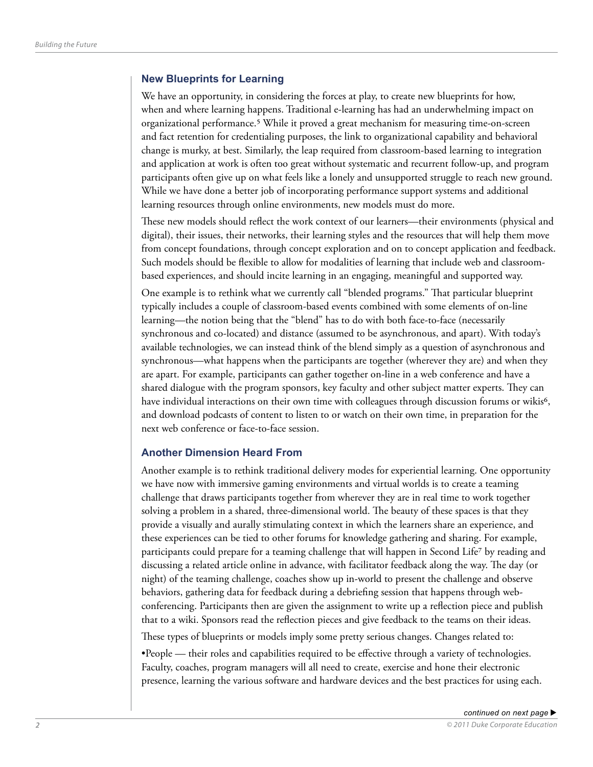#### **New Blueprints for Learning**

We have an opportunity, in considering the forces at play, to create new blueprints for how, when and where learning happens. Traditional e-learning has had an underwhelming impact on organizational performance.5 While it proved a great mechanism for measuring time-on-screen and fact retention for credentialing purposes, the link to organizational capability and behavioral change is murky, at best. Similarly, the leap required from classroom-based learning to integration and application at work is often too great without systematic and recurrent follow-up, and program participants often give up on what feels like a lonely and unsupported struggle to reach new ground. While we have done a better job of incorporating performance support systems and additional learning resources through online environments, new models must do more.

These new models should reflect the work context of our learners—their environments (physical and digital), their issues, their networks, their learning styles and the resources that will help them move from concept foundations, through concept exploration and on to concept application and feedback. Such models should be flexible to allow for modalities of learning that include web and classroombased experiences, and should incite learning in an engaging, meaningful and supported way.

One example is to rethink what we currently call "blended programs." That particular blueprint typically includes a couple of classroom-based events combined with some elements of on-line learning—the notion being that the "blend" has to do with both face-to-face (necessarily synchronous and co-located) and distance (assumed to be asynchronous, and apart). With today's available technologies, we can instead think of the blend simply as a question of asynchronous and synchronous—what happens when the participants are together (wherever they are) and when they are apart. For example, participants can gather together on-line in a web conference and have a shared dialogue with the program sponsors, key faculty and other subject matter experts. They can have individual interactions on their own time with colleagues through discussion forums or wikis<sup>6</sup>, and download podcasts of content to listen to or watch on their own time, in preparation for the next web conference or face-to-face session.

### **Another Dimension Heard From**

Another example is to rethink traditional delivery modes for experiential learning. One opportunity we have now with immersive gaming environments and virtual worlds is to create a teaming challenge that draws participants together from wherever they are in real time to work together solving a problem in a shared, three-dimensional world. The beauty of these spaces is that they provide a visually and aurally stimulating context in which the learners share an experience, and these experiences can be tied to other forums for knowledge gathering and sharing. For example, participants could prepare for a teaming challenge that will happen in Second Life7 by reading and discussing a related article online in advance, with facilitator feedback along the way. The day (or night) of the teaming challenge, coaches show up in-world to present the challenge and observe behaviors, gathering data for feedback during a debriefing session that happens through webconferencing. Participants then are given the assignment to write up a reflection piece and publish that to a wiki. Sponsors read the reflection pieces and give feedback to the teams on their ideas.

These types of blueprints or models imply some pretty serious changes. Changes related to:

•People — their roles and capabilities required to be effective through a variety of technologies. Faculty, coaches, program managers will all need to create, exercise and hone their electronic presence, learning the various software and hardware devices and the best practices for using each.